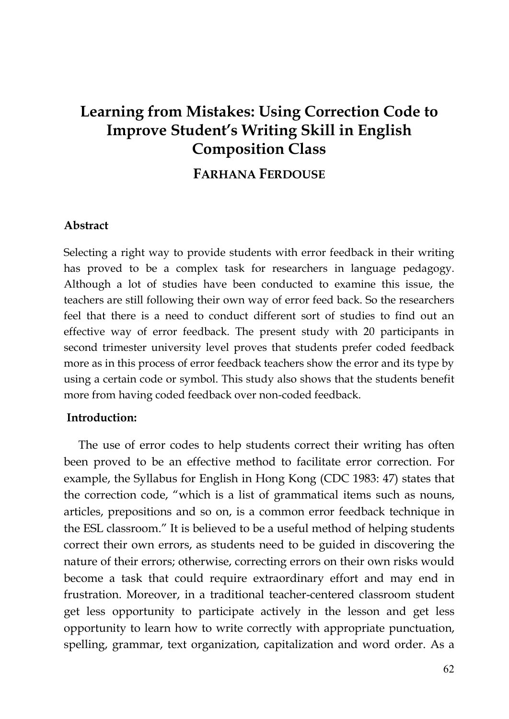# **Learning from Mistakes: Using Correction Code to Improve Student's Writing Skill in English Composition Class**

## **FARHANA FERDOUSE**

#### **Abstract**

Selecting a right way to provide students with error feedback in their writing has proved to be a complex task for researchers in language pedagogy. Although a lot of studies have been conducted to examine this issue, the teachers are still following their own way of error feed back. So the researchers feel that there is a need to conduct different sort of studies to find out an effective way of error feedback. The present study with 20 participants in second trimester university level proves that students prefer coded feedback more as in this process of error feedback teachers show the error and its type by using a certain code or symbol. This study also shows that the students benefit more from having coded feedback over non-coded feedback.

### **Introduction:**

The use of error codes to help students correct their writing has often been proved to be an effective method to facilitate error correction. For example, the Syllabus for English in Hong Kong (CDC 1983: 47) states that the correction code, "which is a list of grammatical items such as nouns, articles, prepositions and so on, is a common error feedback technique in the ESL classroom." It is believed to be a useful method of helping students correct their own errors, as students need to be guided in discovering the nature of their errors; otherwise, correcting errors on their own risks would become a task that could require extraordinary effort and may end in frustration. Moreover, in a traditional teacher-centered classroom student get less opportunity to participate actively in the lesson and get less opportunity to learn how to write correctly with appropriate punctuation, spelling, grammar, text organization, capitalization and word order. As a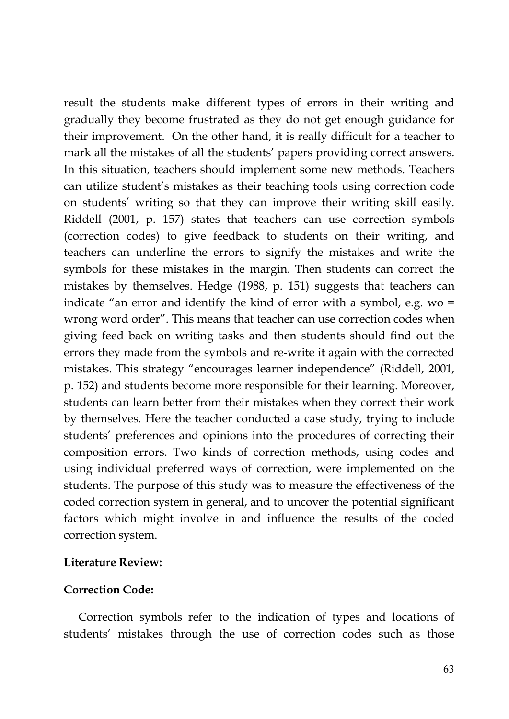result the students make different types of errors in their writing and gradually they become frustrated as they do not get enough guidance for their improvement. On the other hand, it is really difficult for a teacher to mark all the mistakes of all the students' papers providing correct answers. In this situation, teachers should implement some new methods. Teachers can utilize student's mistakes as their teaching tools using correction code on students' writing so that they can improve their writing skill easily. Riddell (2001, p. 157) states that teachers can use correction symbols (correction codes) to give feedback to students on their writing, and teachers can underline the errors to signify the mistakes and write the symbols for these mistakes in the margin. Then students can correct the mistakes by themselves. Hedge (1988, p. 151) suggests that teachers can indicate "an error and identify the kind of error with a symbol, e.g. wo = wrong word order". This means that teacher can use correction codes when giving feed back on writing tasks and then students should find out the errors they made from the symbols and re-write it again with the corrected mistakes. This strategy "encourages learner independence" (Riddell, 2001, p. 152) and students become more responsible for their learning. Moreover, students can learn better from their mistakes when they correct their work by themselves. Here the teacher conducted a case study, trying to include students' preferences and opinions into the procedures of correcting their composition errors. Two kinds of correction methods, using codes and using individual preferred ways of correction, were implemented on the students. The purpose of this study was to measure the effectiveness of the coded correction system in general, and to uncover the potential significant factors which might involve in and influence the results of the coded correction system.

### **Literature Review:**

### **Correction Code:**

Correction symbols refer to the indication of types and locations of students' mistakes through the use of correction codes such as those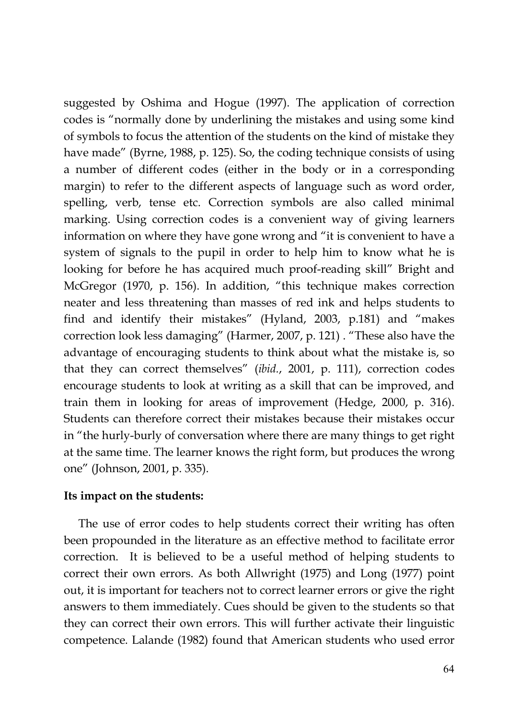suggested by Oshima and Hogue (1997). The application of correction codes is "normally done by underlining the mistakes and using some kind of symbols to focus the attention of the students on the kind of mistake they have made" (Byrne, 1988, p. 125). So, the coding technique consists of using a number of different codes (either in the body or in a corresponding margin) to refer to the different aspects of language such as word order, spelling, verb, tense etc. Correction symbols are also called minimal marking. Using correction codes is a convenient way of giving learners information on where they have gone wrong and "it is convenient to have a system of signals to the pupil in order to help him to know what he is looking for before he has acquired much proof-reading skill" Bright and McGregor (1970, p. 156). In addition, "this technique makes correction neater and less threatening than masses of red ink and helps students to find and identify their mistakes" (Hyland, 2003, p.181) and "makes correction look less damaging" (Harmer, 2007, p. 121) . "These also have the advantage of encouraging students to think about what the mistake is, so that they can correct themselves" (*ibid.*, 2001, p. 111), correction codes encourage students to look at writing as a skill that can be improved, and train them in looking for areas of improvement (Hedge, 2000, p. 316). Students can therefore correct their mistakes because their mistakes occur in "the hurly-burly of conversation where there are many things to get right at the same time. The learner knows the right form, but produces the wrong one" (Johnson, 2001, p. 335).

### **Its impact on the students:**

The use of error codes to help students correct their writing has often been propounded in the literature as an effective method to facilitate error correction. It is believed to be a useful method of helping students to correct their own errors. As both Allwright (1975) and Long (1977) point out, it is important for teachers not to correct learner errors or give the right answers to them immediately. Cues should be given to the students so that they can correct their own errors. This will further activate their linguistic competence. Lalande (1982) found that American students who used error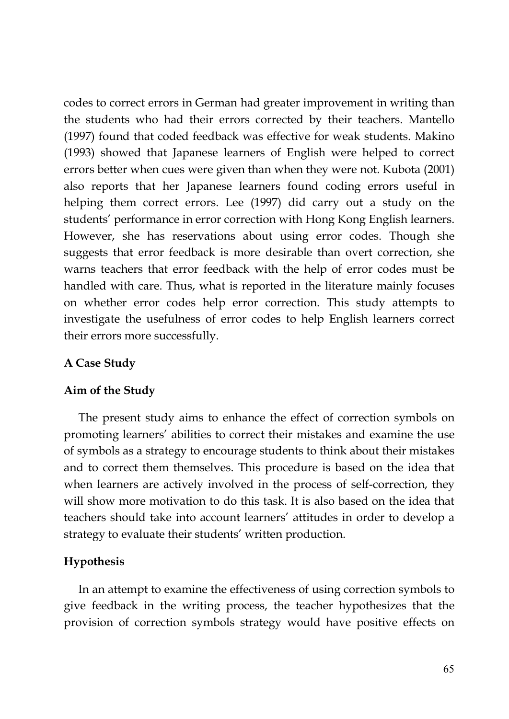codes to correct errors in German had greater improvement in writing than the students who had their errors corrected by their teachers. Mantello (1997) found that coded feedback was effective for weak students. Makino (1993) showed that Japanese learners of English were helped to correct errors better when cues were given than when they were not. Kubota (2001) also reports that her Japanese learners found coding errors useful in helping them correct errors. Lee (1997) did carry out a study on the students' performance in error correction with Hong Kong English learners. However, she has reservations about using error codes. Though she suggests that error feedback is more desirable than overt correction, she warns teachers that error feedback with the help of error codes must be handled with care. Thus, what is reported in the literature mainly focuses on whether error codes help error correction. This study attempts to investigate the usefulness of error codes to help English learners correct their errors more successfully.

### **A Case Study**

### **Aim of the Study**

The present study aims to enhance the effect of correction symbols on promoting learners' abilities to correct their mistakes and examine the use of symbols as a strategy to encourage students to think about their mistakes and to correct them themselves. This procedure is based on the idea that when learners are actively involved in the process of self-correction, they will show more motivation to do this task. It is also based on the idea that teachers should take into account learners' attitudes in order to develop a strategy to evaluate their students' written production.

### **Hypothesis**

In an attempt to examine the effectiveness of using correction symbols to give feedback in the writing process, the teacher hypothesizes that the provision of correction symbols strategy would have positive effects on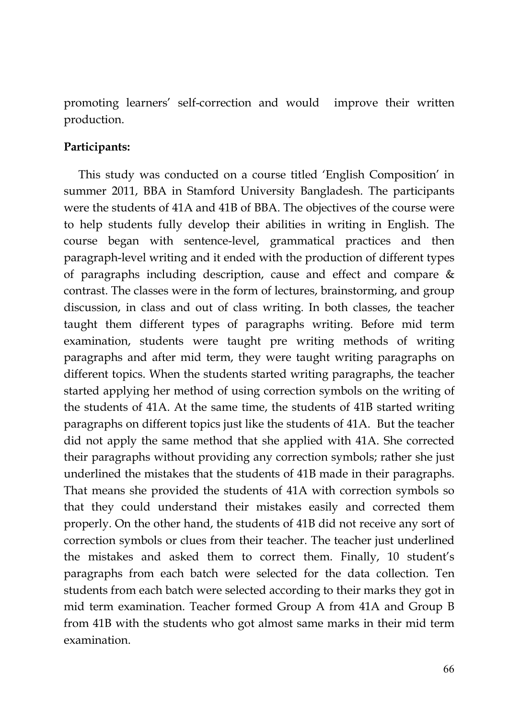promoting learners' self-correction and would improve their written production.

### **Participants:**

This study was conducted on a course titled 'English Composition' in summer 2011, BBA in Stamford University Bangladesh. The participants were the students of 41A and 41B of BBA. The objectives of the course were to help students fully develop their abilities in writing in English. The course began with sentence-level, grammatical practices and then paragraph-level writing and it ended with the production of different types of paragraphs including description, cause and effect and compare & contrast. The classes were in the form of lectures, brainstorming, and group discussion, in class and out of class writing. In both classes, the teacher taught them different types of paragraphs writing. Before mid term examination, students were taught pre writing methods of writing paragraphs and after mid term, they were taught writing paragraphs on different topics. When the students started writing paragraphs, the teacher started applying her method of using correction symbols on the writing of the students of 41A. At the same time, the students of 41B started writing paragraphs on different topics just like the students of 41A. But the teacher did not apply the same method that she applied with 41A. She corrected their paragraphs without providing any correction symbols; rather she just underlined the mistakes that the students of 41B made in their paragraphs. That means she provided the students of 41A with correction symbols so that they could understand their mistakes easily and corrected them properly. On the other hand, the students of 41B did not receive any sort of correction symbols or clues from their teacher. The teacher just underlined the mistakes and asked them to correct them. Finally, 10 student's paragraphs from each batch were selected for the data collection. Ten students from each batch were selected according to their marks they got in mid term examination. Teacher formed Group A from 41A and Group B from 41B with the students who got almost same marks in their mid term examination.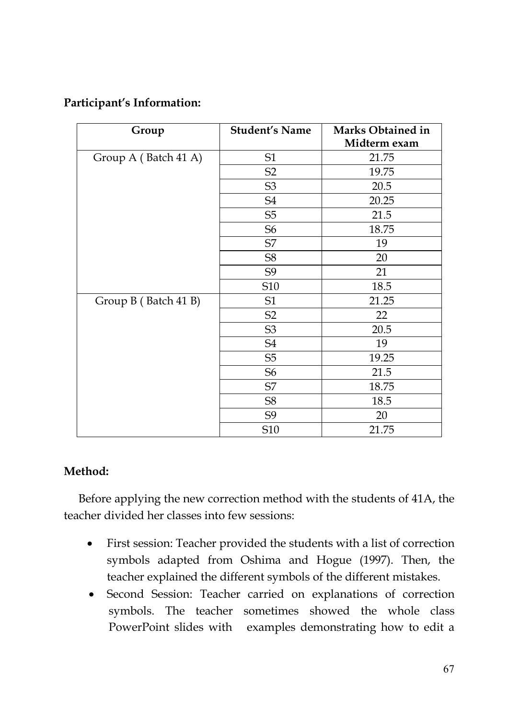## **Participant's Information:**

| Group                | <b>Student's Name</b> | Marks Obtained in |
|----------------------|-----------------------|-------------------|
|                      |                       | Midterm exam      |
| Group A (Batch 41 A) | S <sub>1</sub>        | 21.75             |
|                      | S <sub>2</sub>        | 19.75             |
|                      | S <sub>3</sub>        | 20.5              |
|                      | S <sub>4</sub>        | 20.25             |
|                      | S <sub>5</sub>        | 21.5              |
|                      | S <sub>6</sub>        | 18.75             |
|                      | S7                    | 19                |
|                      | S8                    | 20                |
|                      | S9                    | 21                |
|                      | S10                   | 18.5              |
| Group B (Batch 41 B) | S1                    | 21.25             |
|                      | S2                    | 22                |
|                      | S <sub>3</sub>        | 20.5              |
|                      | S <sub>4</sub>        | 19                |
|                      | S <sub>5</sub>        | 19.25             |
|                      | S <sub>6</sub>        | 21.5              |
|                      | S7                    | 18.75             |
|                      | S8                    | 18.5              |
|                      | S9                    | 20                |
|                      | S10                   | 21.75             |

## **Method:**

Before applying the new correction method with the students of 41A, the teacher divided her classes into few sessions:

- First session: Teacher provided the students with a list of correction symbols adapted from Oshima and Hogue (1997). Then, the teacher explained the different symbols of the different mistakes.
- Second Session: Teacher carried on explanations of correction symbols. The teacher sometimes showed the whole class PowerPoint slides with examples demonstrating how to edit a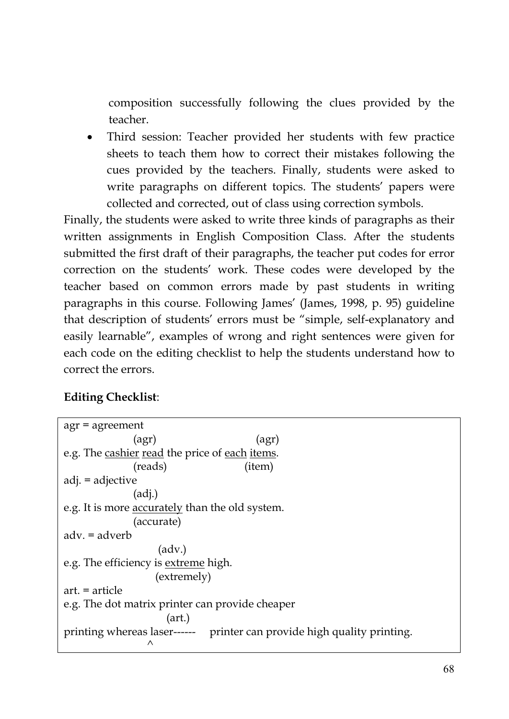composition successfully following the clues provided by the teacher.

 Third session: Teacher provided her students with few practice sheets to teach them how to correct their mistakes following the cues provided by the teachers. Finally, students were asked to write paragraphs on different topics. The students' papers were collected and corrected, out of class using correction symbols.

Finally, the students were asked to write three kinds of paragraphs as their written assignments in English Composition Class. After the students submitted the first draft of their paragraphs, the teacher put codes for error correction on the students' work. These codes were developed by the teacher based on common errors made by past students in writing paragraphs in this course. Following James' (James, 1998, p. 95) guideline that description of students' errors must be "simple, self-explanatory and easily learnable", examples of wrong and right sentences were given for each code on the editing checklist to help the students understand how to correct the errors.

## **Editing Checklist**:

| $agr = agreement$                                                            |
|------------------------------------------------------------------------------|
| (agr)<br>(agr)                                                               |
| e.g. The cashier read the price of each items.                               |
| (reads)<br>(item)                                                            |
| adj. = adjective                                                             |
| (ad <sub>i</sub> )                                                           |
| e.g. It is more accurately than the old system.                              |
| (accurate)                                                                   |
| adv. = adverb                                                                |
| (adv.)                                                                       |
| e.g. The efficiency is extreme high.                                         |
| (extremely)                                                                  |
| $art. = article$                                                             |
| e.g. The dot matrix printer can provide cheaper                              |
| (art.)                                                                       |
| printing whereas laser------ printer can provide high quality printing.<br>Λ |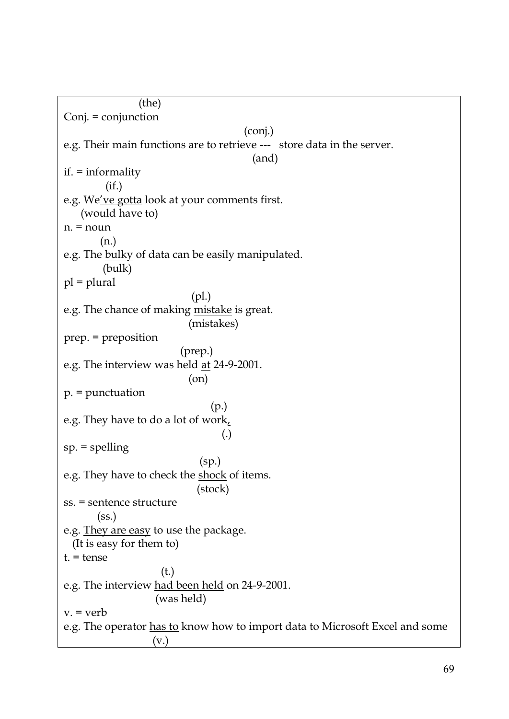(the) Conj. = conjunction (conj.) e.g. Their main functions are to retrieve --- store data in the server. (and) if. = informality (if.) e.g. We've gotta look at your comments first. (would have to) n. = noun (n.) e.g. The bulky of data can be easily manipulated. (bulk) pl = plural (pl.) e.g. The chance of making mistake is great. (mistakes) prep. = preposition (prep.) e.g. The interview was held at 24-9-2001. (on) p. = punctuation (p.) e.g. They have to do a lot of work, (.) sp. = spelling (sp.) e.g. They have to check the shock of items. (stock) ss. = sentence structure (ss.) e.g. They are easy to use the package. (It is easy for them to) t. = tense (t.) e.g. The interview had been held on 24-9-2001. (was held)  $v = v$ erb e.g. The operator has to know how to import data to Microsoft Excel and some (v.)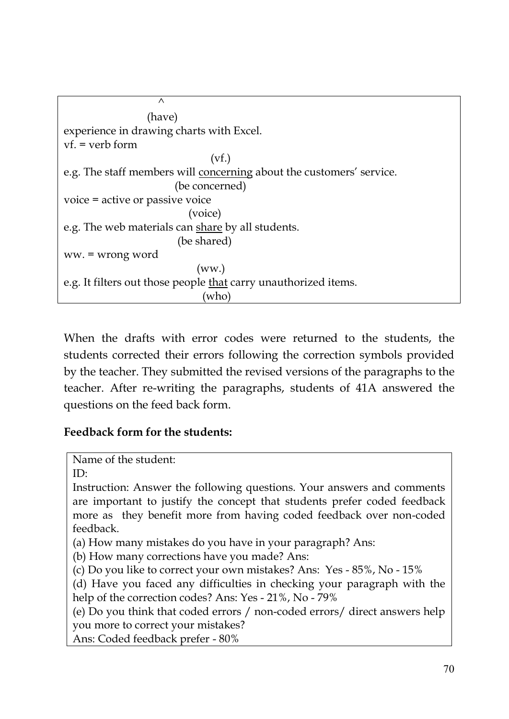```
\wedge(have)
experience in drawing charts with Excel.
vf. = verb form
                              (vf.)
e.g. The staff members will concerning about the customers' service.
                       (be concerned)
voice = active or passive voice
                          (voice)
e.g. The web materials can share by all students.
                       (be shared)
ww. = wrong word
                            (ww.)
e.g. It filters out those people that carry unauthorized items.
                             (who)
```
When the drafts with error codes were returned to the students, the students corrected their errors following the correction symbols provided by the teacher. They submitted the revised versions of the paragraphs to the teacher. After re-writing the paragraphs, students of 41A answered the questions on the feed back form.

## **Feedback form for the students:**

```
Name of the student:
```
ID:

Instruction: Answer the following questions. Your answers and comments are important to justify the concept that students prefer coded feedback more as they benefit more from having coded feedback over non-coded feedback.

(a) How many mistakes do you have in your paragraph? Ans:

(b) How many corrections have you made? Ans:

(c) Do you like to correct your own mistakes? Ans: Yes - 85%, No - 15%

(d) Have you faced any difficulties in checking your paragraph with the help of the correction codes? Ans: Yes - 21%, No - 79%

(e) Do you think that coded errors / non-coded errors/ direct answers help you more to correct your mistakes?

Ans: Coded feedback prefer - 80%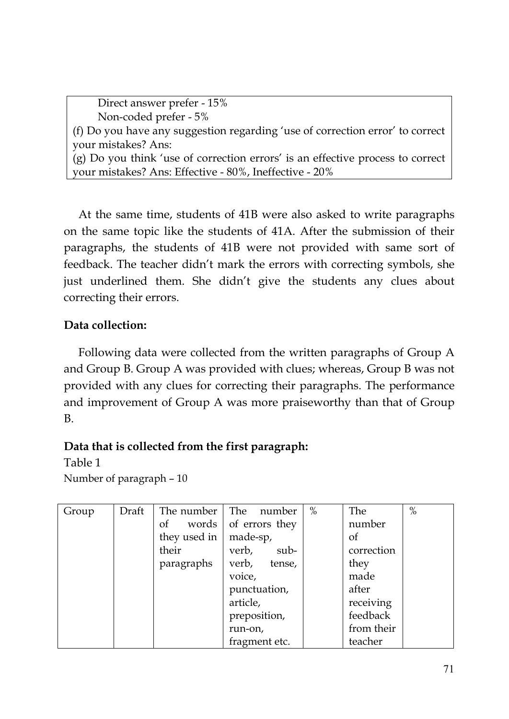Direct answer prefer - 15% Non-coded prefer - 5% (f) Do you have any suggestion regarding 'use of correction error' to correct your mistakes? Ans: (g) Do you think 'use of correction errors' is an effective process to correct your mistakes? Ans: Effective - 80%, Ineffective - 20%

At the same time, students of 41B were also asked to write paragraphs on the same topic like the students of 41A. After the submission of their paragraphs, the students of 41B were not provided with same sort of feedback. The teacher didn't mark the errors with correcting symbols, she just underlined them. She didn't give the students any clues about correcting their errors.

## **Data collection:**

Following data were collected from the written paragraphs of Group A and Group B. Group A was provided with clues; whereas, Group B was not provided with any clues for correcting their paragraphs. The performance and improvement of Group A was more praiseworthy than that of Group B.

## **Data that is collected from the first paragraph:**

Table 1

Number of paragraph – 10

| Group | Draft | The number   | The<br>number   | $\%$ | The        | $\%$ |
|-------|-------|--------------|-----------------|------|------------|------|
|       |       | of<br>words  | of errors they  |      | number     |      |
|       |       | they used in | made-sp,        |      | οf         |      |
|       |       | their        | verb,<br>sub-   |      | correction |      |
|       |       | paragraphs   | verb,<br>tense, |      | they       |      |
|       |       |              | voice,          |      | made       |      |
|       |       |              | punctuation,    |      | after      |      |
|       |       |              | article,        |      | receiving  |      |
|       |       |              | preposition,    |      | feedback   |      |
|       |       |              | run-on,         |      | from their |      |
|       |       |              | fragment etc.   |      | teacher    |      |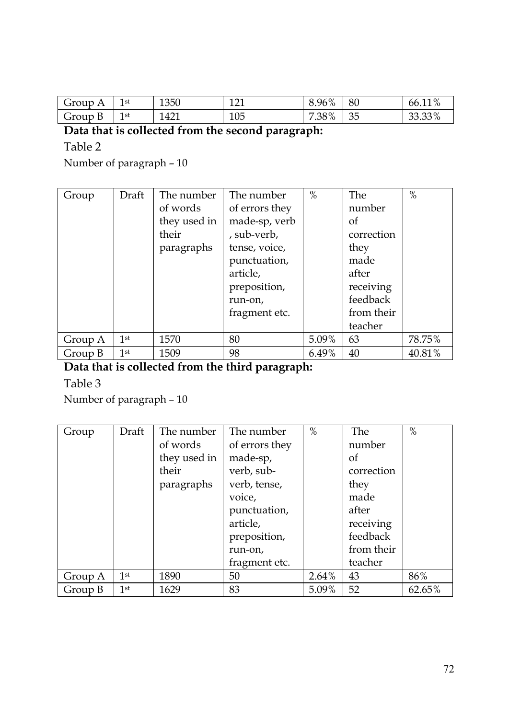| Group<br>А      | 1st<br><b>.</b> | 1350 | 101<br>--- | 8.96%      | 80       | 110/<br>66.11<br>70   |
|-----------------|-----------------|------|------------|------------|----------|-----------------------|
| ÷<br>Group<br>ப | 1st<br><b>.</b> | 421  | 105        | .38%<br>70 | スト<br>◡◡ | 2200<br>∽<br>OO.OO 70 |

### **Data that is collected from the second paragraph:**

Table 2

Number of paragraph – 10

| Group   | Draft           | The number   | The number     | $\%$  | The        | $\%$   |
|---------|-----------------|--------------|----------------|-------|------------|--------|
|         |                 | of words     | of errors they |       | number     |        |
|         |                 | they used in | made-sp, verb  |       | οf         |        |
|         |                 | their        | , sub-verb,    |       | correction |        |
|         |                 | paragraphs   | tense, voice,  |       | they       |        |
|         |                 |              | punctuation,   |       | made       |        |
|         |                 |              | article,       |       | after      |        |
|         |                 |              | preposition,   |       | receiving  |        |
|         |                 |              | run-on,        |       | feedback   |        |
|         |                 |              | fragment etc.  |       | from their |        |
|         |                 |              |                |       | teacher    |        |
| Group A | 1 <sup>st</sup> | 1570         | 80             | 5.09% | 63         | 78.75% |
| Group B | 1 <sup>st</sup> | 1509         | 98             | 6.49% | 40         | 40.81% |

## **Data that is collected from the third paragraph:**

Table 3

Number of paragraph – 10

| Group   | Draft           | The number   | The number     | $\%$  | The        | $\%$   |
|---------|-----------------|--------------|----------------|-------|------------|--------|
|         |                 | of words     | of errors they |       | number     |        |
|         |                 | they used in | made-sp,       |       | οf         |        |
|         |                 | their        | verb, sub-     |       | correction |        |
|         |                 | paragraphs   | verb, tense,   |       | they       |        |
|         |                 |              | voice,         |       | made       |        |
|         |                 |              | punctuation,   |       | after      |        |
|         |                 |              | article,       |       | receiving  |        |
|         |                 |              | preposition,   |       | feedback   |        |
|         |                 |              | run-on,        |       | from their |        |
|         |                 |              | fragment etc.  |       | teacher    |        |
| Group A | 1 <sup>st</sup> | 1890         | 50             | 2.64% | 43         | 86%    |
| Group B | 1 <sup>st</sup> | 1629         | 83             | 5.09% | 52         | 62.65% |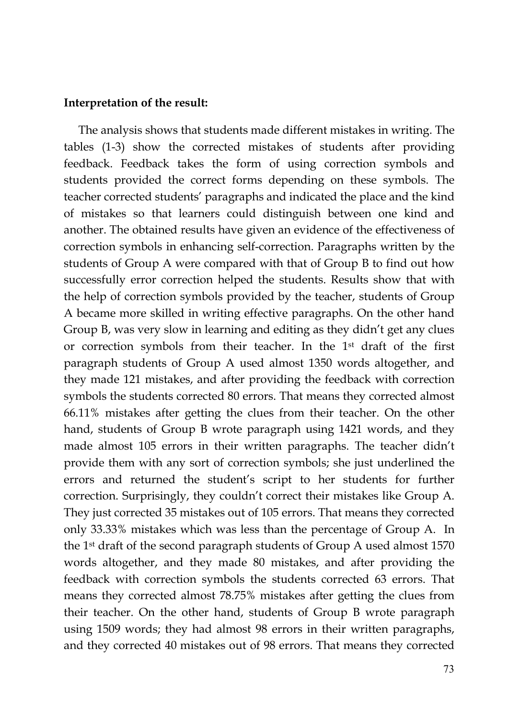#### **Interpretation of the result:**

The analysis shows that students made different mistakes in writing. The tables (1-3) show the corrected mistakes of students after providing feedback. Feedback takes the form of using correction symbols and students provided the correct forms depending on these symbols. The teacher corrected students' paragraphs and indicated the place and the kind of mistakes so that learners could distinguish between one kind and another. The obtained results have given an evidence of the effectiveness of correction symbols in enhancing self-correction. Paragraphs written by the students of Group A were compared with that of Group B to find out how successfully error correction helped the students. Results show that with the help of correction symbols provided by the teacher, students of Group A became more skilled in writing effective paragraphs. On the other hand Group B, was very slow in learning and editing as they didn't get any clues or correction symbols from their teacher. In the 1st draft of the first paragraph students of Group A used almost 1350 words altogether, and they made 121 mistakes, and after providing the feedback with correction symbols the students corrected 80 errors. That means they corrected almost 66.11% mistakes after getting the clues from their teacher. On the other hand, students of Group B wrote paragraph using 1421 words, and they made almost 105 errors in their written paragraphs. The teacher didn't provide them with any sort of correction symbols; she just underlined the errors and returned the student's script to her students for further correction. Surprisingly, they couldn't correct their mistakes like Group A. They just corrected 35 mistakes out of 105 errors. That means they corrected only 33.33% mistakes which was less than the percentage of Group A. In the 1st draft of the second paragraph students of Group A used almost 1570 words altogether, and they made 80 mistakes, and after providing the feedback with correction symbols the students corrected 63 errors. That means they corrected almost 78.75% mistakes after getting the clues from their teacher. On the other hand, students of Group B wrote paragraph using 1509 words; they had almost 98 errors in their written paragraphs, and they corrected 40 mistakes out of 98 errors. That means they corrected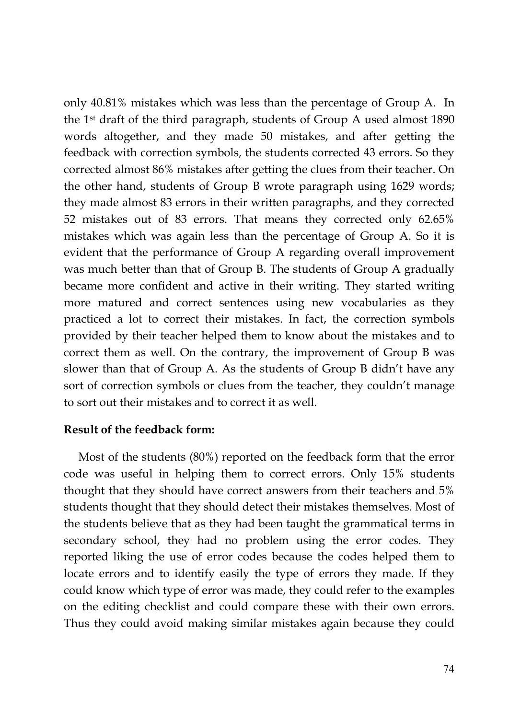only 40.81% mistakes which was less than the percentage of Group A. In the 1<sup>st</sup> draft of the third paragraph, students of Group A used almost  $1890$ words altogether, and they made 50 mistakes, and after getting the feedback with correction symbols, the students corrected 43 errors. So they corrected almost 86% mistakes after getting the clues from their teacher. On the other hand, students of Group B wrote paragraph using 1629 words; they made almost 83 errors in their written paragraphs, and they corrected 52 mistakes out of 83 errors. That means they corrected only 62.65% mistakes which was again less than the percentage of Group A. So it is evident that the performance of Group A regarding overall improvement was much better than that of Group B. The students of Group A gradually became more confident and active in their writing. They started writing more matured and correct sentences using new vocabularies as they practiced a lot to correct their mistakes. In fact, the correction symbols provided by their teacher helped them to know about the mistakes and to correct them as well. On the contrary, the improvement of Group B was slower than that of Group A. As the students of Group B didn't have any sort of correction symbols or clues from the teacher, they couldn't manage to sort out their mistakes and to correct it as well.

### **Result of the feedback form:**

Most of the students (80%) reported on the feedback form that the error code was useful in helping them to correct errors. Only 15% students thought that they should have correct answers from their teachers and 5% students thought that they should detect their mistakes themselves. Most of the students believe that as they had been taught the grammatical terms in secondary school, they had no problem using the error codes. They reported liking the use of error codes because the codes helped them to locate errors and to identify easily the type of errors they made. If they could know which type of error was made, they could refer to the examples on the editing checklist and could compare these with their own errors. Thus they could avoid making similar mistakes again because they could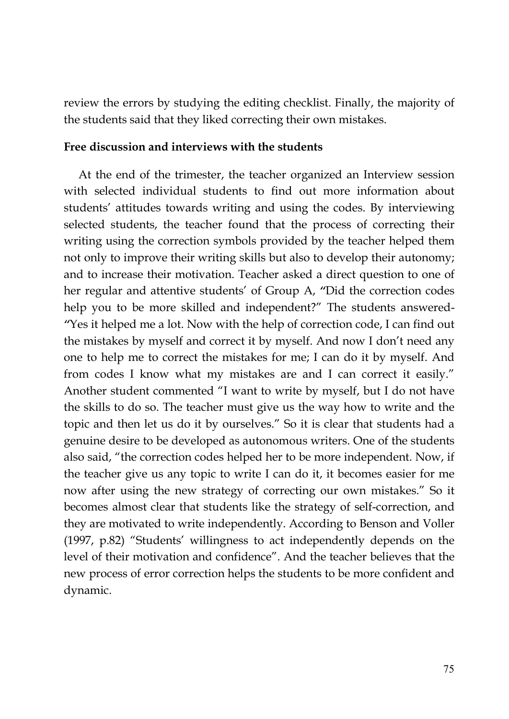review the errors by studying the editing checklist. Finally, the majority of the students said that they liked correcting their own mistakes.

#### **Free discussion and interviews with the students**

At the end of the trimester, the teacher organized an Interview session with selected individual students to find out more information about students' attitudes towards writing and using the codes. By interviewing selected students, the teacher found that the process of correcting their writing using the correction symbols provided by the teacher helped them not only to improve their writing skills but also to develop their autonomy; and to increase their motivation. Teacher asked a direct question to one of her regular and attentive students' of Group A, *"*Did the correction codes help you to be more skilled and independent?" The students answered- *"*Yes it helped me a lot. Now with the help of correction code, I can find out the mistakes by myself and correct it by myself. And now I don't need any one to help me to correct the mistakes for me; I can do it by myself. And from codes I know what my mistakes are and I can correct it easily." Another student commented "I want to write by myself, but I do not have the skills to do so. The teacher must give us the way how to write and the topic and then let us do it by ourselves." So it is clear that students had a genuine desire to be developed as autonomous writers. One of the students also said, "the correction codes helped her to be more independent. Now, if the teacher give us any topic to write I can do it, it becomes easier for me now after using the new strategy of correcting our own mistakes." So it becomes almost clear that students like the strategy of self-correction, and they are motivated to write independently. According to Benson and Voller (1997, p.82) "Students' willingness to act independently depends on the level of their motivation and confidence". And the teacher believes that the new process of error correction helps the students to be more confident and dynamic.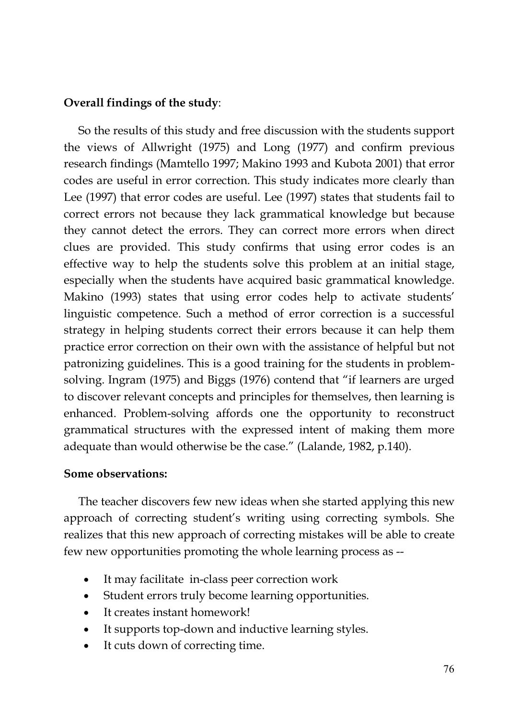### **Overall findings of the study**:

So the results of this study and free discussion with the students support the views of Allwright (1975) and Long (1977) and confirm previous research findings (Mamtello 1997; Makino 1993 and Kubota 2001) that error codes are useful in error correction. This study indicates more clearly than Lee (1997) that error codes are useful. Lee (1997) states that students fail to correct errors not because they lack grammatical knowledge but because they cannot detect the errors. They can correct more errors when direct clues are provided. This study confirms that using error codes is an effective way to help the students solve this problem at an initial stage, especially when the students have acquired basic grammatical knowledge. Makino (1993) states that using error codes help to activate students' linguistic competence. Such a method of error correction is a successful strategy in helping students correct their errors because it can help them practice error correction on their own with the assistance of helpful but not patronizing guidelines. This is a good training for the students in problemsolving. Ingram (1975) and Biggs (1976) contend that "if learners are urged to discover relevant concepts and principles for themselves, then learning is enhanced. Problem-solving affords one the opportunity to reconstruct grammatical structures with the expressed intent of making them more adequate than would otherwise be the case." (Lalande, 1982, p.140).

### **Some observations:**

The teacher discovers few new ideas when she started applying this new approach of correcting student's writing using correcting symbols. She realizes that this new approach of correcting mistakes will be able to create few new opportunities promoting the whole learning process as --

- It may facilitate in-class peer correction work
- Student errors truly become learning opportunities.
- It creates instant homework!
- It supports top-down and inductive learning styles.
- It cuts down of correcting time.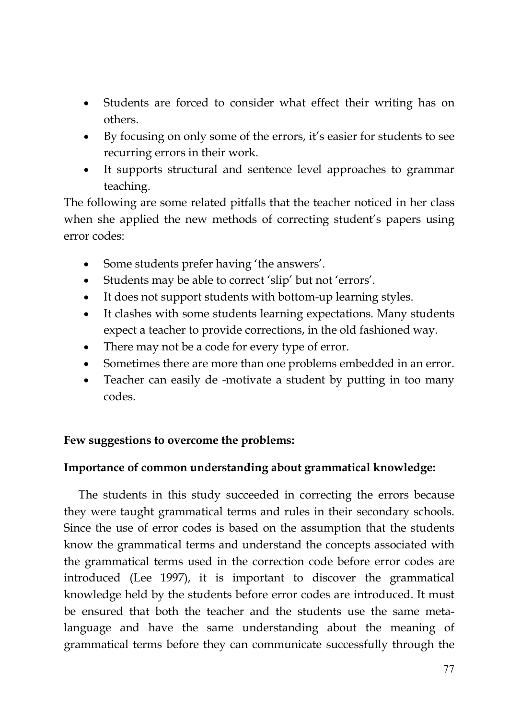- Students are forced to consider what effect their writing has on others.
- By focusing on only some of the errors, it's easier for students to see recurring errors in their work.
- It supports structural and sentence level approaches to grammar teaching.

The following are some related pitfalls that the teacher noticed in her class when she applied the new methods of correcting student's papers using error codes:

- Some students prefer having 'the answers'.
- Students may be able to correct 'slip' but not 'errors'.
- It does not support students with bottom-up learning styles.
- It clashes with some students learning expectations. Many students expect a teacher to provide corrections, in the old fashioned way.
- There may not be a code for every type of error.
- Sometimes there are more than one problems embedded in an error.
- Teacher can easily de -motivate a student by putting in too many codes.

## **Few suggestions to overcome the problems:**

## **Importance of common understanding about grammatical knowledge:**

The students in this study succeeded in correcting the errors because they were taught grammatical terms and rules in their secondary schools. Since the use of error codes is based on the assumption that the students know the grammatical terms and understand the concepts associated with the grammatical terms used in the correction code before error codes are introduced (Lee 1997), it is important to discover the grammatical knowledge held by the students before error codes are introduced. It must be ensured that both the teacher and the students use the same metalanguage and have the same understanding about the meaning of grammatical terms before they can communicate successfully through the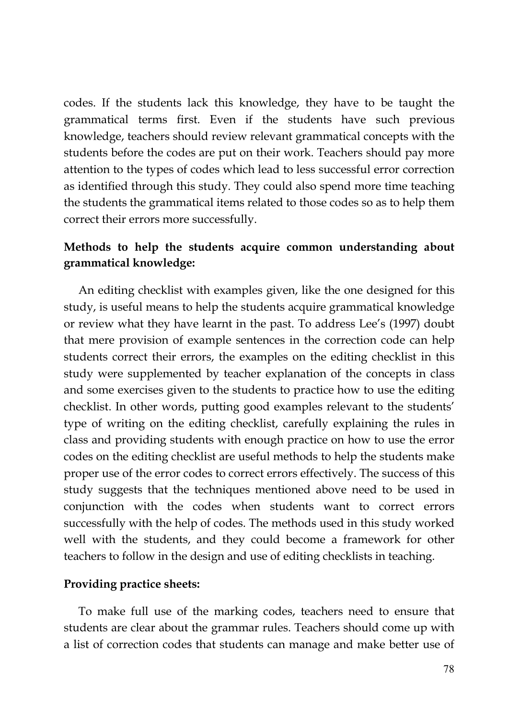codes. If the students lack this knowledge, they have to be taught the grammatical terms first. Even if the students have such previous knowledge, teachers should review relevant grammatical concepts with the students before the codes are put on their work. Teachers should pay more attention to the types of codes which lead to less successful error correction as identified through this study. They could also spend more time teaching the students the grammatical items related to those codes so as to help them correct their errors more successfully.

## **Methods to help the students acquire common understanding about grammatical knowledge:**

An editing checklist with examples given, like the one designed for this study, is useful means to help the students acquire grammatical knowledge or review what they have learnt in the past. To address Lee's (1997) doubt that mere provision of example sentences in the correction code can help students correct their errors, the examples on the editing checklist in this study were supplemented by teacher explanation of the concepts in class and some exercises given to the students to practice how to use the editing checklist. In other words, putting good examples relevant to the students' type of writing on the editing checklist, carefully explaining the rules in class and providing students with enough practice on how to use the error codes on the editing checklist are useful methods to help the students make proper use of the error codes to correct errors effectively. The success of this study suggests that the techniques mentioned above need to be used in conjunction with the codes when students want to correct errors successfully with the help of codes. The methods used in this study worked well with the students, and they could become a framework for other teachers to follow in the design and use of editing checklists in teaching.

### **Providing practice sheets:**

To make full use of the marking codes, teachers need to ensure that students are clear about the grammar rules. Teachers should come up with a list of correction codes that students can manage and make better use of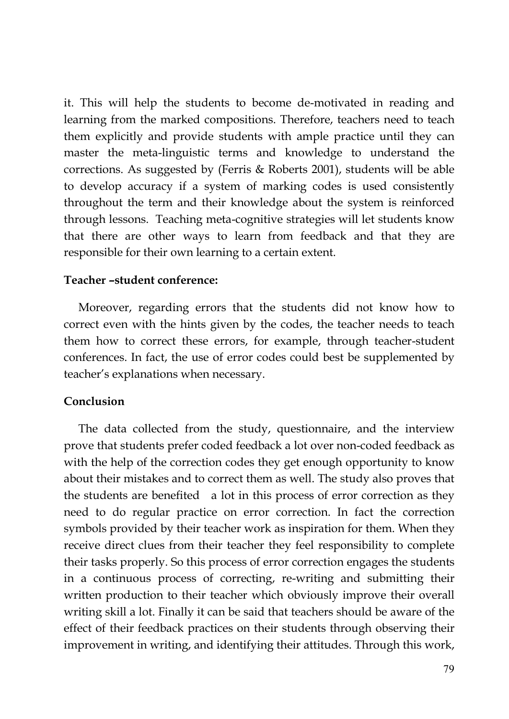it. This will help the students to become de-motivated in reading and learning from the marked compositions. Therefore, teachers need to teach them explicitly and provide students with ample practice until they can master the meta-linguistic terms and knowledge to understand the corrections. As suggested by (Ferris & Roberts 2001), students will be able to develop accuracy if a system of marking codes is used consistently throughout the term and their knowledge about the system is reinforced through lessons. Teaching meta-cognitive strategies will let students know that there are other ways to learn from feedback and that they are responsible for their own learning to a certain extent.

### **Teacher –student conference:**

Moreover, regarding errors that the students did not know how to correct even with the hints given by the codes, the teacher needs to teach them how to correct these errors, for example, through teacher-student conferences. In fact, the use of error codes could best be supplemented by teacher's explanations when necessary.

### **Conclusion**

The data collected from the study, questionnaire, and the interview prove that students prefer coded feedback a lot over non-coded feedback as with the help of the correction codes they get enough opportunity to know about their mistakes and to correct them as well. The study also proves that the students are benefited a lot in this process of error correction as they need to do regular practice on error correction. In fact the correction symbols provided by their teacher work as inspiration for them. When they receive direct clues from their teacher they feel responsibility to complete their tasks properly. So this process of error correction engages the students in a continuous process of correcting, re-writing and submitting their written production to their teacher which obviously improve their overall writing skill a lot. Finally it can be said that teachers should be aware of the effect of their feedback practices on their students through observing their improvement in writing, and identifying their attitudes. Through this work,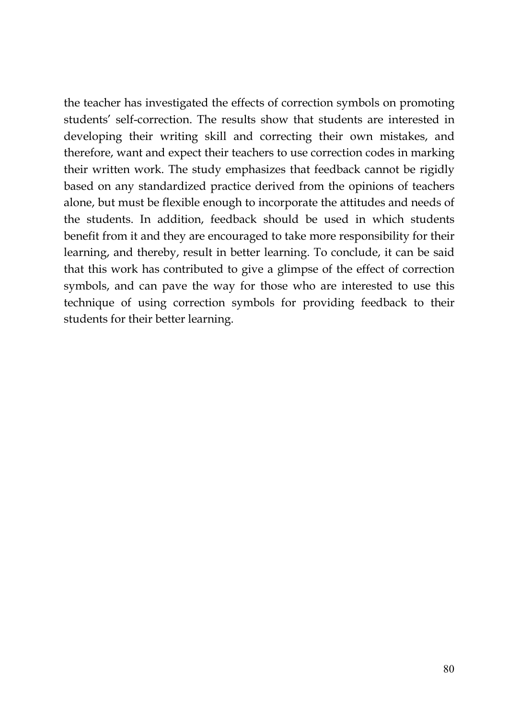the teacher has investigated the effects of correction symbols on promoting students' self-correction. The results show that students are interested in developing their writing skill and correcting their own mistakes, and therefore, want and expect their teachers to use correction codes in marking their written work. The study emphasizes that feedback cannot be rigidly based on any standardized practice derived from the opinions of teachers alone, but must be flexible enough to incorporate the attitudes and needs of the students. In addition, feedback should be used in which students benefit from it and they are encouraged to take more responsibility for their learning, and thereby, result in better learning. To conclude, it can be said that this work has contributed to give a glimpse of the effect of correction symbols, and can pave the way for those who are interested to use this technique of using correction symbols for providing feedback to their students for their better learning.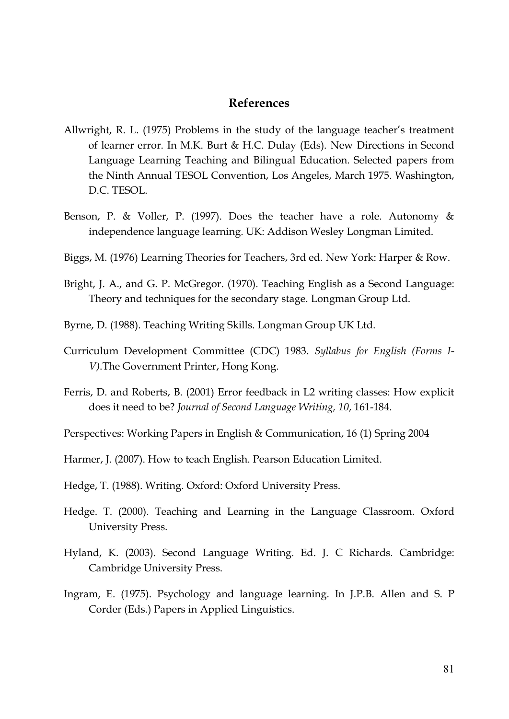#### **References**

- Allwright, R. L. (1975) Problems in the study of the language teacher's treatment of learner error. In M.K. Burt & H.C. Dulay (Eds). New Directions in Second Language Learning Teaching and Bilingual Education. Selected papers from the Ninth Annual TESOL Convention, Los Angeles, March 1975. Washington, D.C. TESOL.
- Benson, P. & Voller, P. (1997). Does the teacher have a role. Autonomy & independence language learning. UK: Addison Wesley Longman Limited.
- Biggs, M. (1976) Learning Theories for Teachers, 3rd ed. New York: Harper & Row.
- Bright, J. A., and G. P. McGregor. (1970). Teaching English as a Second Language: Theory and techniques for the secondary stage. Longman Group Ltd.
- Byrne, D. (1988). Teaching Writing Skills. Longman Group UK Ltd.
- Curriculum Development Committee (CDC) 1983. *Syllabus for English (Forms I-V)*.The Government Printer, Hong Kong.
- Ferris, D. and Roberts, B. (2001) Error feedback in L2 writing classes: How explicit does it need to be? *Journal of Second Language Writing, 10*, 161-184.
- Perspectives: Working Papers in English & Communication, 16 (1) Spring 2004
- Harmer, J. (2007). How to teach English. Pearson Education Limited.
- Hedge, T. (1988). Writing. Oxford: Oxford University Press.
- Hedge. T. (2000). Teaching and Learning in the Language Classroom. Oxford University Press.
- Hyland, K. (2003). Second Language Writing. Ed. J. C Richards. Cambridge: Cambridge University Press.
- Ingram, E. (1975). Psychology and language learning. In J.P.B. Allen and S. P Corder (Eds.) Papers in Applied Linguistics.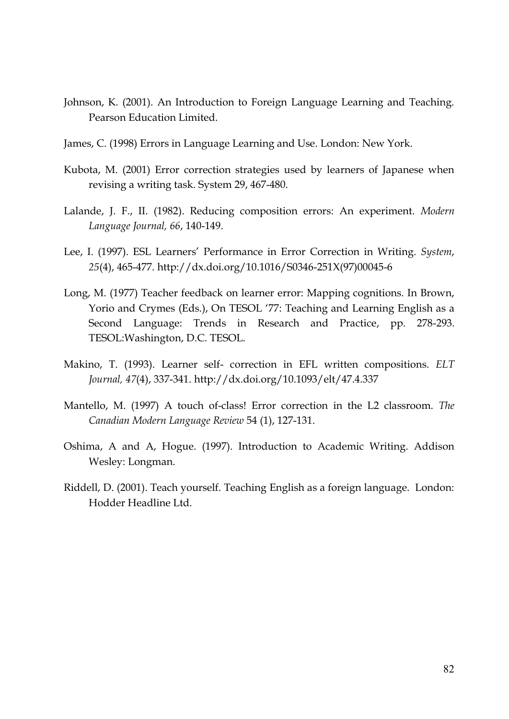- Johnson, K. (2001). An Introduction to Foreign Language Learning and Teaching. Pearson Education Limited.
- James, C. (1998) Errors in Language Learning and Use. London: New York.
- Kubota, M. (2001) Error correction strategies used by learners of Japanese when revising a writing task. System 29, 467-480.
- Lalande, J. F., II. (1982). Reducing composition errors: An experiment. *Modern Language Journal, 66*, 140-149.
- Lee, I. (1997). ESL Learners' Performance in Error Correction in Writing. *System*, *25*(4), 465-477.<http://dx.doi.org/10.1016/>S0346-251X(97)00045-6
- Long, M. (1977) Teacher feedback on learner error: Mapping cognitions. In Brown, Yorio and Crymes (Eds.), On TESOL '77: Teaching and Learning English as a Second Language: Trends in Research and Practice, pp. 278-293. TESOL:Washington, D.C. TESOL.
- Makino, T. (1993). Learner self- correction in EFL written compositions. *ELT Journal, 47*(4), 337-341.<http://dx.doi.org/10.1093/>elt/47.4.337
- Mantello, M. (1997) A touch of-class! Error correction in the L2 classroom. *The Canadian Modern Language Review* 54 (1), 127-131.
- Oshima, A and A, Hogue. (1997). Introduction to Academic Writing. Addison Wesley: Longman.
- Riddell, D. (2001). Teach yourself. Teaching English as a foreign language. London: Hodder Headline Ltd.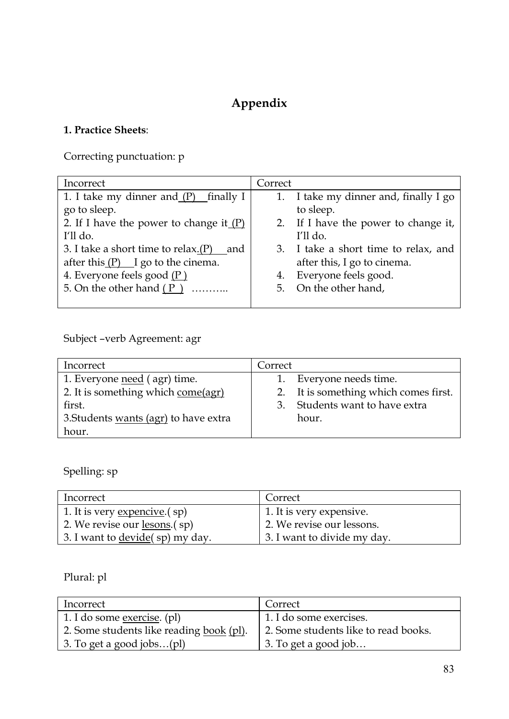# **Appendix**

## **1. Practice Sheets**:

Correcting punctuation: p

| Incorrect                                     | Correct                               |
|-----------------------------------------------|---------------------------------------|
| 1. I take my dinner and (P)<br>finally I      | 1. I take my dinner and, finally I go |
| go to sleep.                                  | to sleep.                             |
| 2. If I have the power to change it $(P)$     | 2. If I have the power to change it,  |
| I'll do.                                      | I'll do.                              |
| 3. I take a short time to relax. $(P)$<br>and | 3. I take a short time to relax, and  |
| after this $(P)$ I go to the cinema.          | after this, I go to cinema.           |
| 4. Everyone feels good (P)                    | Everyone feels good.<br>4.            |
| 5. On the other hand $(P)$                    | 5. On the other hand,                 |
|                                               |                                       |

Subject –verb Agreement: agr

| Incorrect                             | Correct                               |
|---------------------------------------|---------------------------------------|
| 1. Everyone need (agr) time.          | 1. Everyone needs time.               |
| 2. It is something which come(agr)    | 2. It is something which comes first. |
| first.                                | 3. Students want to have extra        |
| 3. Students wants (agr) to have extra | hour.                                 |
| hour.                                 |                                       |

Spelling: sp

| Incorrect                               | Correct                     |
|-----------------------------------------|-----------------------------|
| 1. It is very expencive. (sp)           | 1. It is very expensive.    |
| 2. We revise our <u>lesons</u> .(sp)    | 2. We revise our lessons.   |
| 3. I want to <u>devide</u> (sp) my day. | 3. I want to divide my day. |

Plural: pl

| Incorrect                                       | Correct                              |
|-------------------------------------------------|--------------------------------------|
| 1. I do some <u>exercise</u> . (pl)             | 1. I do some exercises.              |
| 2. Some students like reading <u>book</u> (pl). | 2. Some students like to read books. |
| 3. To get a good jobs $\text{(pl)}$             | 3. To get a good job                 |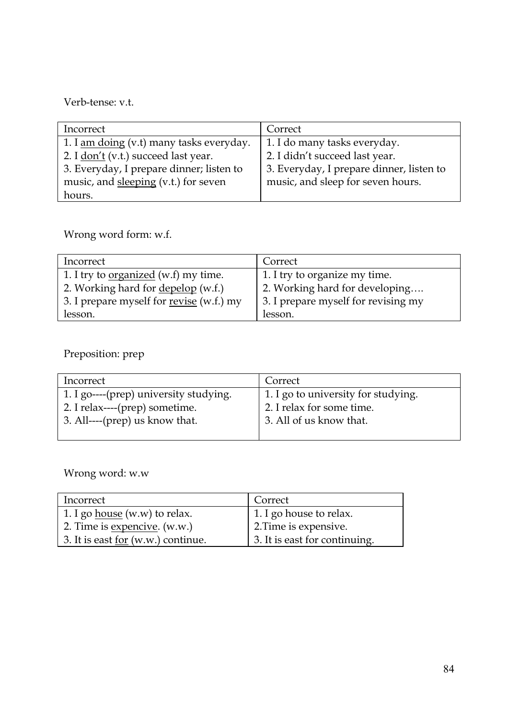Verb-tense: v.t.

| Incorrect                                | Correct                                  |
|------------------------------------------|------------------------------------------|
| 1. I am doing (v.t) many tasks everyday. | 1. I do many tasks everyday.             |
| 2. I don't (v.t.) succeed last year.     | 2. I didn't succeed last year.           |
| 3. Everyday, I prepare dinner; listen to | 3. Everyday, I prepare dinner, listen to |
| music, and sleeping (v.t.) for seven     | music, and sleep for seven hours.        |
| hours.                                   |                                          |

Wrong word form: w.f.

| Incorrect                                       | Correct                             |
|-------------------------------------------------|-------------------------------------|
| 1. I try to <u>organized</u> (w.f) my time.     | 1. I try to organize my time.       |
| 2. Working hard for <u>depelop</u> (w.f.)       | 2. Working hard for developing      |
| 3. I prepare myself for <u>revise</u> (w.f.) my | 3. I prepare myself for revising my |
| lesson.                                         | lesson.                             |

Preposition: prep

| Incorrect                              | Correct                             |
|----------------------------------------|-------------------------------------|
| 1. I go----(prep) university studying. | 1. I go to university for studying. |
| 2. I relax----(prep) sometime.         | 2. I relax for some time.           |
| 3. All----(prep) us know that.         | 3. All of us know that.             |
|                                        |                                     |

Wrong word: w.w

| Incorrect                                 | Correct                       |
|-------------------------------------------|-------------------------------|
| 1. I go <u>house</u> (w.w) to relax.      | 1. I go house to relax.       |
| 2. Time is <u>expencive</u> . (w.w.)      | 2. Time is expensive.         |
| 3. It is east <u>for</u> (w.w.) continue. | 3. It is east for continuing. |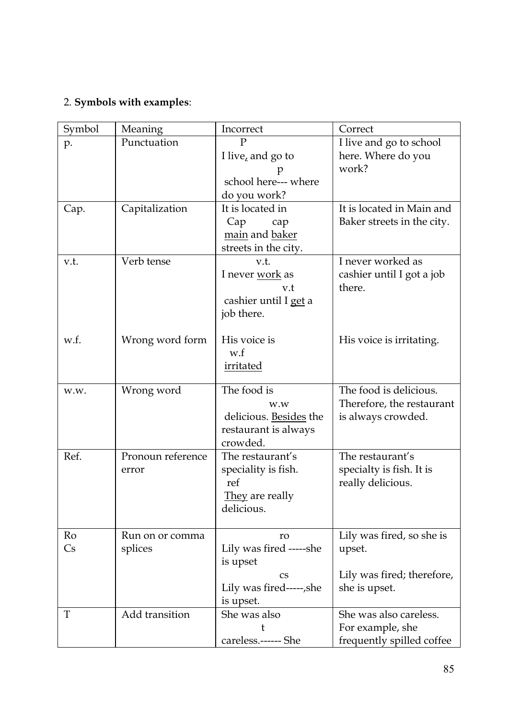## 2. **Symbols with examples**:

| Symbol | Meaning                    | Incorrect                                                                         | Correct                                                                   |
|--------|----------------------------|-----------------------------------------------------------------------------------|---------------------------------------------------------------------------|
| p.     | Punctuation                | I live, and go to<br>school here--- where<br>do you work?                         | I live and go to school<br>here. Where do you<br>work?                    |
| Cap.   | Capitalization             | It is located in<br>Cap<br>cap<br>main and baker<br>streets in the city.          | It is located in Main and<br>Baker streets in the city.                   |
| v.t.   | Verb tense                 | v.t.<br>I never work as<br>v.t<br>cashier until I get a<br>job there.             | I never worked as<br>cashier until I got a job<br>there.                  |
| w.f.   | Wrong word form            | His voice is<br>w.f<br>irritated                                                  | His voice is irritating.                                                  |
| w.w.   | Wrong word                 | The food is<br>w.w<br>delicious. Besides the<br>restaurant is always<br>crowded.  | The food is delicious.<br>Therefore, the restaurant<br>is always crowded. |
| Ref.   | Pronoun reference<br>error | The restaurant's<br>speciality is fish.<br>ref<br>They are really<br>delicious.   | The restaurant's<br>specialty is fish. It is<br>really delicious.         |
| Ro     | Run on or comma            | ro                                                                                | Lily was fired, so she is                                                 |
| Cs     | splices                    | Lily was fired -----she<br>is upset<br>CS<br>Lily was fired-----,she<br>is upset. | upset.<br>Lily was fired; therefore,<br>she is upset.                     |
| T      | Add transition             | She was also<br>t<br>careless.------ She                                          | She was also careless.<br>For example, she<br>frequently spilled coffee   |